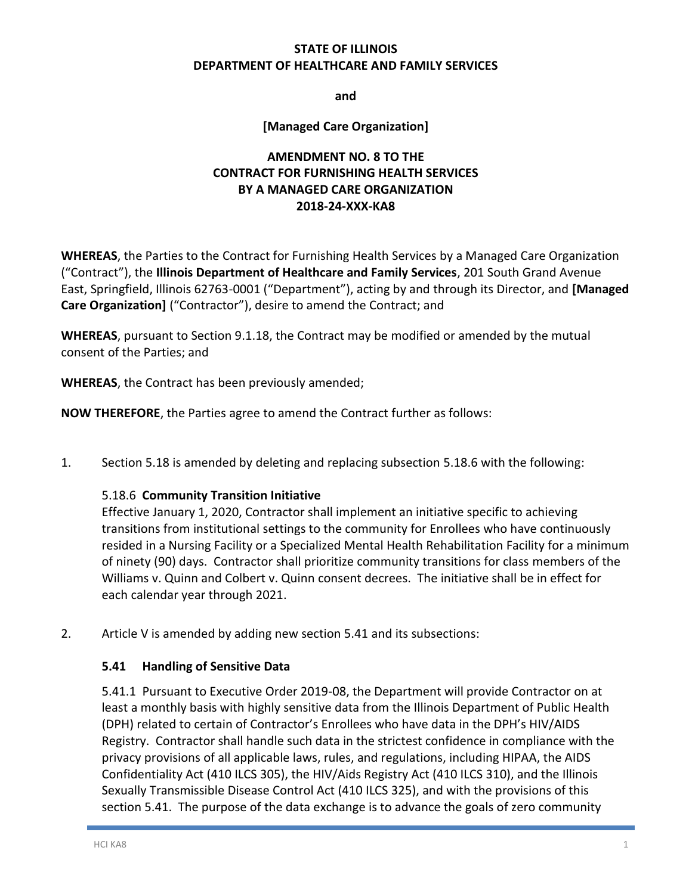## **STATE OF ILLINOIS DEPARTMENT OF HEALTHCARE AND FAMILY SERVICES**

**and**

### **[Managed Care Organization]**

# **AMENDMENT NO. 8 TO THE CONTRACT FOR FURNISHING HEALTH SERVICES BY A MANAGED CARE ORGANIZATION 2018-24-XXX-KA8**

**WHEREAS**, the Parties to the Contract for Furnishing Health Services by a Managed Care Organization ("Contract"), the **Illinois Department of Healthcare and Family Services**, 201 South Grand Avenue East, Springfield, Illinois 62763-0001 ("Department"), acting by and through its Director, and **[Managed Care Organization]** ("Contractor"), desire to amend the Contract; and

**WHEREAS**, pursuant to Section 9.1.18, the Contract may be modified or amended by the mutual consent of the Parties; and

**WHEREAS**, the Contract has been previously amended;

**NOW THEREFORE**, the Parties agree to amend the Contract further as follows:

1. Section 5.18 is amended by deleting and replacing subsection 5.18.6 with the following:

#### 5.18.6 **Community Transition Initiative**

Effective January 1, 2020, Contractor shall implement an initiative specific to achieving transitions from institutional settings to the community for Enrollees who have continuously resided in a Nursing Facility or a Specialized Mental Health Rehabilitation Facility for a minimum of ninety (90) days. Contractor shall prioritize community transitions for class members of the Williams v. Quinn and Colbert v. Quinn consent decrees. The initiative shall be in effect for each calendar year through 2021.

2. Article V is amended by adding new section 5.41 and its subsections:

#### **5.41 Handling of Sensitive Data**

5.41.1 Pursuant to Executive Order 2019-08, the Department will provide Contractor on at least a monthly basis with highly sensitive data from the Illinois Department of Public Health (DPH) related to certain of Contractor's Enrollees who have data in the DPH's HIV/AIDS Registry. Contractor shall handle such data in the strictest confidence in compliance with the privacy provisions of all applicable laws, rules, and regulations, including HIPAA, the AIDS Confidentiality Act (410 ILCS 305), the HIV/Aids Registry Act (410 ILCS 310), and the Illinois Sexually Transmissible Disease Control Act (410 ILCS 325), and with the provisions of this section 5.41. The purpose of the data exchange is to advance the goals of zero community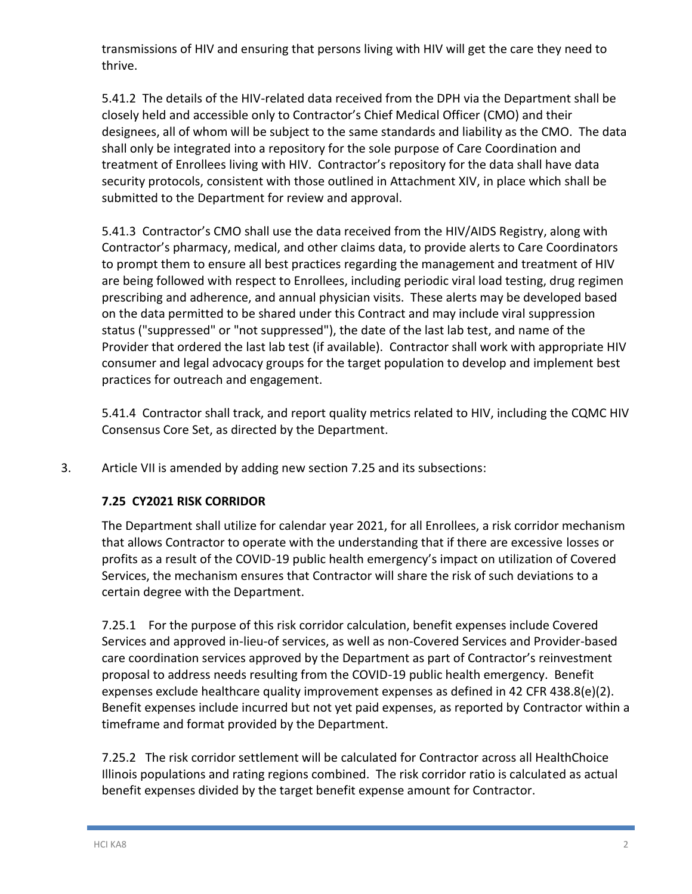transmissions of HIV and ensuring that persons living with HIV will get the care they need to thrive.

5.41.2 The details of the HIV-related data received from the DPH via the Department shall be closely held and accessible only to Contractor's Chief Medical Officer (CMO) and their designees, all of whom will be subject to the same standards and liability as the CMO. The data shall only be integrated into a repository for the sole purpose of Care Coordination and treatment of Enrollees living with HIV. Contractor's repository for the data shall have data security protocols, consistent with those outlined in Attachment XIV, in place which shall be submitted to the Department for review and approval.

5.41.3 Contractor's CMO shall use the data received from the HIV/AIDS Registry, along with Contractor's pharmacy, medical, and other claims data, to provide alerts to Care Coordinators to prompt them to ensure all best practices regarding the management and treatment of HIV are being followed with respect to Enrollees, including periodic viral load testing, drug regimen prescribing and adherence, and annual physician visits. These alerts may be developed based on the data permitted to be shared under this Contract and may include viral suppression status ("suppressed" or "not suppressed"), the date of the last lab test, and name of the Provider that ordered the last lab test (if available). Contractor shall work with appropriate HIV consumer and legal advocacy groups for the target population to develop and implement best practices for outreach and engagement.

5.41.4 Contractor shall track, and report quality metrics related to HIV, including the CQMC HIV Consensus Core Set, as directed by the Department.

3. Article VII is amended by adding new section 7.25 and its subsections:

## **7.25 CY2021 RISK CORRIDOR**

The Department shall utilize for calendar year 2021, for all Enrollees, a risk corridor mechanism that allows Contractor to operate with the understanding that if there are excessive losses or profits as a result of the COVID-19 public health emergency's impact on utilization of Covered Services, the mechanism ensures that Contractor will share the risk of such deviations to a certain degree with the Department.

7.25.1 For the purpose of this risk corridor calculation, benefit expenses include Covered Services and approved in-lieu-of services, as well as non-Covered Services and Provider-based care coordination services approved by the Department as part of Contractor's reinvestment proposal to address needs resulting from the COVID-19 public health emergency. Benefit expenses exclude healthcare quality improvement expenses as defined in 42 CFR 438.8(e)(2). Benefit expenses include incurred but not yet paid expenses, as reported by Contractor within a timeframe and format provided by the Department.

7.25.2 The risk corridor settlement will be calculated for Contractor across all HealthChoice Illinois populations and rating regions combined. The risk corridor ratio is calculated as actual benefit expenses divided by the target benefit expense amount for Contractor.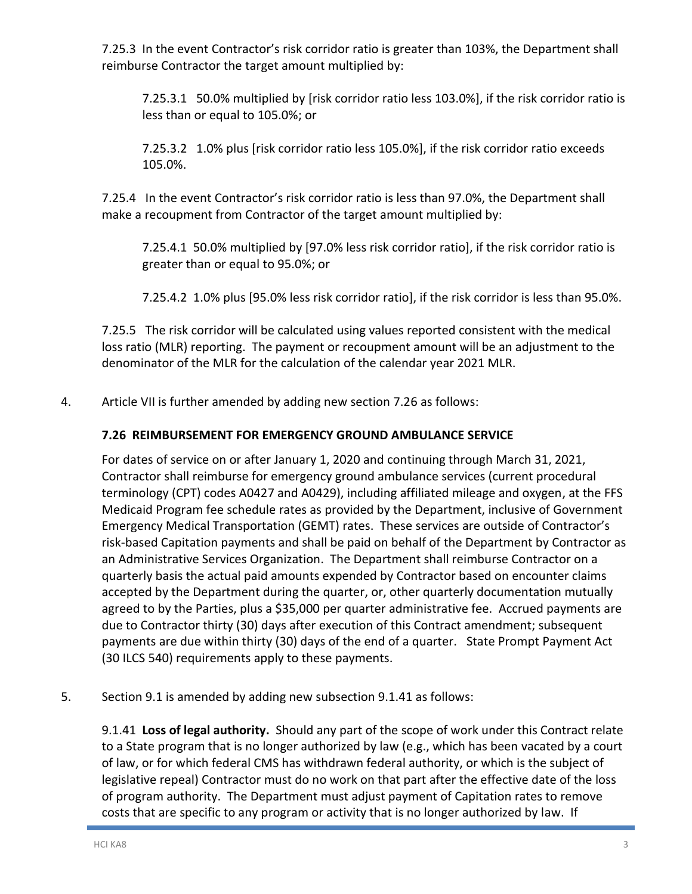7.25.3 In the event Contractor's risk corridor ratio is greater than 103%, the Department shall reimburse Contractor the target amount multiplied by:

7.25.3.1 50.0% multiplied by [risk corridor ratio less 103.0%], if the risk corridor ratio is less than or equal to 105.0%; or

7.25.3.2 1.0% plus [risk corridor ratio less 105.0%], if the risk corridor ratio exceeds 105.0%.

7.25.4 In the event Contractor's risk corridor ratio is less than 97.0%, the Department shall make a recoupment from Contractor of the target amount multiplied by:

7.25.4.1 50.0% multiplied by [97.0% less risk corridor ratio], if the risk corridor ratio is greater than or equal to 95.0%; or

7.25.4.2 1.0% plus [95.0% less risk corridor ratio], if the risk corridor is less than 95.0%.

7.25.5 The risk corridor will be calculated using values reported consistent with the medical loss ratio (MLR) reporting. The payment or recoupment amount will be an adjustment to the denominator of the MLR for the calculation of the calendar year 2021 MLR.

4. Article VII is further amended by adding new section 7.26 as follows:

# **7.26 REIMBURSEMENT FOR EMERGENCY GROUND AMBULANCE SERVICE**

For dates of service on or after January 1, 2020 and continuing through March 31, 2021, Contractor shall reimburse for emergency ground ambulance services (current procedural terminology (CPT) codes A0427 and A0429), including affiliated mileage and oxygen, at the FFS Medicaid Program fee schedule rates as provided by the Department, inclusive of Government Emergency Medical Transportation (GEMT) rates. These services are outside of Contractor's risk-based Capitation payments and shall be paid on behalf of the Department by Contractor as an Administrative Services Organization. The Department shall reimburse Contractor on a quarterly basis the actual paid amounts expended by Contractor based on encounter claims accepted by the Department during the quarter, or, other quarterly documentation mutually agreed to by the Parties, plus a \$35,000 per quarter administrative fee. Accrued payments are due to Contractor thirty (30) days after execution of this Contract amendment; subsequent payments are due within thirty (30) days of the end of a quarter. State Prompt Payment Act (30 ILCS 540) requirements apply to these payments.

## 5. Section 9.1 is amended by adding new subsection 9.1.41 as follows:

9.1.41 **Loss of legal authority.** Should any part of the scope of work under this Contract relate to a State program that is no longer authorized by law (e.g., which has been vacated by a court of law, or for which federal CMS has withdrawn federal authority, or which is the subject of legislative repeal) Contractor must do no work on that part after the effective date of the loss of program authority. The Department must adjust payment of Capitation rates to remove costs that are specific to any program or activity that is no longer authorized by law. If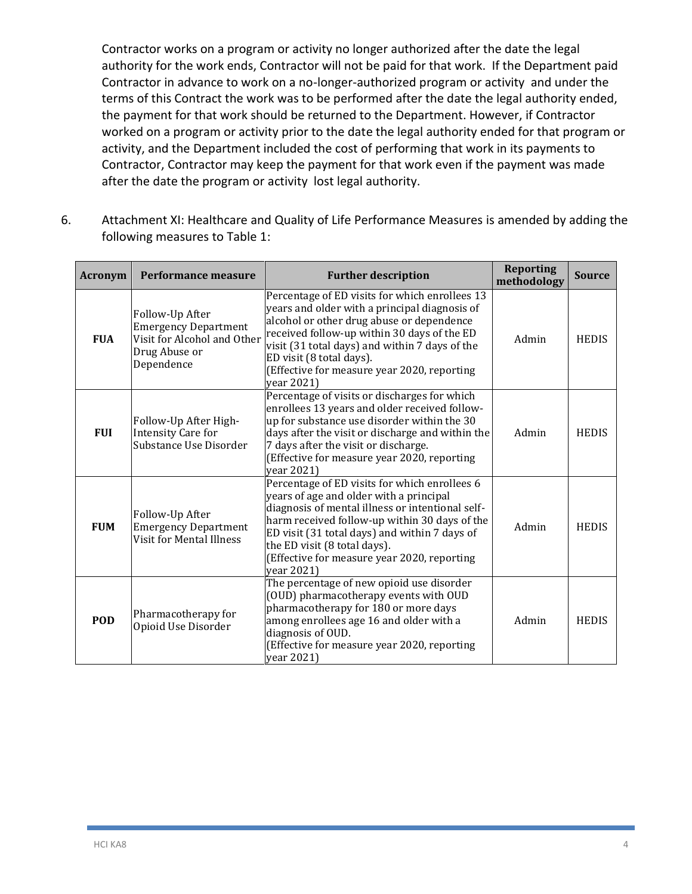Contractor works on a program or activity no longer authorized after the date the legal authority for the work ends, Contractor will not be paid for that work. If the Department paid Contractor in advance to work on a no-longer-authorized program or activity and under the terms of this Contract the work was to be performed after the date the legal authority ended, the payment for that work should be returned to the Department. However, if Contractor worked on a program or activity prior to the date the legal authority ended for that program or activity, and the Department included the cost of performing that work in its payments to Contractor, Contractor may keep the payment for that work even if the payment was made after the date the program or activity lost legal authority.

6. Attachment XI: Healthcare and Quality of Life Performance Measures is amended by adding the following measures to Table 1:

| <b>Acronym</b> | Performance measure                                                                                          | <b>Further description</b>                                                                                                                                                                                                                                                                                                                  | <b>Reporting</b><br>methodology | <b>Source</b> |
|----------------|--------------------------------------------------------------------------------------------------------------|---------------------------------------------------------------------------------------------------------------------------------------------------------------------------------------------------------------------------------------------------------------------------------------------------------------------------------------------|---------------------------------|---------------|
| <b>FUA</b>     | Follow-Up After<br><b>Emergency Department</b><br>Visit for Alcohol and Other<br>Drug Abuse or<br>Dependence | Percentage of ED visits for which enrollees 13<br>years and older with a principal diagnosis of<br>alcohol or other drug abuse or dependence<br>received follow-up within 30 days of the ED<br>visit (31 total days) and within 7 days of the<br>ED visit (8 total days).<br>(Effective for measure year 2020, reporting<br>year 2021)      | Admin                           | <b>HEDIS</b>  |
| <b>FUI</b>     | Follow-Up After High-<br><b>Intensity Care for</b><br>Substance Use Disorder                                 | Percentage of visits or discharges for which<br>enrollees 13 years and older received follow-<br>up for substance use disorder within the 30<br>days after the visit or discharge and within the<br>7 days after the visit or discharge.<br>(Effective for measure year 2020, reporting<br>year 2021)                                       | Admin                           | <b>HEDIS</b>  |
| <b>FUM</b>     | Follow-Up After<br><b>Emergency Department</b><br>Visit for Mental Illness                                   | Percentage of ED visits for which enrollees 6<br>years of age and older with a principal<br>diagnosis of mental illness or intentional self-<br>harm received follow-up within 30 days of the<br>ED visit (31 total days) and within 7 days of<br>the ED visit (8 total days).<br>(Effective for measure year 2020, reporting<br>vear 2021) | Admin                           | <b>HEDIS</b>  |
| <b>POD</b>     | Pharmacotherapy for<br>Opioid Use Disorder                                                                   | The percentage of new opioid use disorder<br>(OUD) pharmacotherapy events with OUD<br>pharmacotherapy for 180 or more days<br>among enrollees age 16 and older with a<br>diagnosis of OUD.<br>(Effective for measure year 2020, reporting<br>year 2021)                                                                                     | Admin                           | <b>HEDIS</b>  |